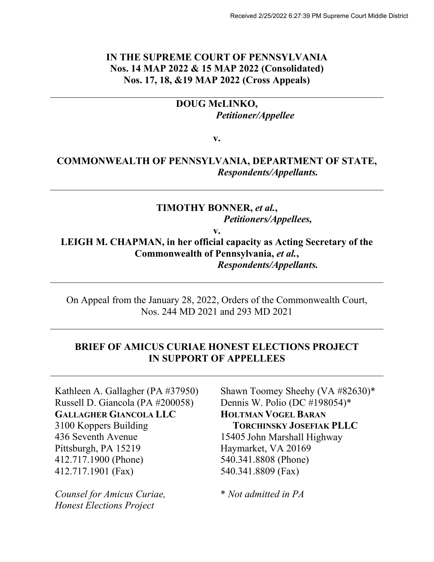## **IN THE SUPREME COURT OF PENNSYLVANIA Nos. 14 MAP 2022 & 15 MAP 2022 (Consolidated) Nos. 17, 18, &19 MAP 2022 (Cross Appeals)**

## **DOUG McLINKO,** *Petitioner/Appellee*

**v.**

## **COMMONWEALTH OF PENNSYLVANIA, DEPARTMENT OF STATE,** *Respondents/Appellants.*

## **TIMOTHY BONNER,** *et al.***,** *Petitioners/Appellees,*

**v.**

**LEIGH M. CHAPMAN, in her official capacity as Acting Secretary of the Commonwealth of Pennsylvania,** *et al.***,** *Respondents/Appellants.*

On Appeal from the January 28, 2022, Orders of the Commonwealth Court, Nos. 244 MD 2021 and 293 MD 2021

## **BRIEF OF AMICUS CURIAE HONEST ELECTIONS PROJECT IN SUPPORT OF APPELLEES**

Kathleen A. Gallagher (PA #37950) Russell D. Giancola (PA #200058) **GALLAGHER GIANCOLA LLC** 3100 Koppers Building 436 Seventh Avenue Pittsburgh, PA 15219 412.717.1900 (Phone) 412.717.1901 (Fax)

*Counsel for Amicus Curiae, Honest Elections Project*

Shawn Toomey Sheehy (VA #82630)\* Dennis W. Polio (DC #198054)\* **HOLTMAN VOGEL BARAN TORCHINSKY JOSEFIAK PLLC** 15405 John Marshall Highway Haymarket, VA 20169 540.341.8808 (Phone) 540.341.8809 (Fax)

\* *Not admitted in PA*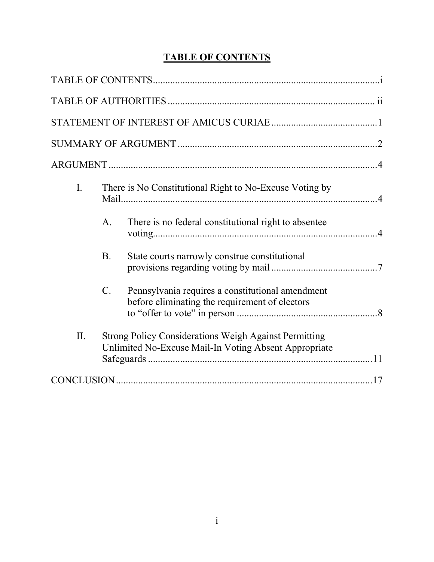# **TABLE OF CONTENTS**

| $\mathbf{I}$ . | There is No Constitutional Right to No-Excuse Voting by                                                               |                                                                                                    |  |
|----------------|-----------------------------------------------------------------------------------------------------------------------|----------------------------------------------------------------------------------------------------|--|
|                | A <sub>1</sub>                                                                                                        | There is no federal constitutional right to absentee                                               |  |
|                | <b>B.</b>                                                                                                             | State courts narrowly construe constitutional                                                      |  |
|                | $\mathcal{C}$ .                                                                                                       | Pennsylvania requires a constitutional amendment<br>before eliminating the requirement of electors |  |
| II.            | <b>Strong Policy Considerations Weigh Against Permitting</b><br>Unlimited No-Excuse Mail-In Voting Absent Appropriate |                                                                                                    |  |
|                |                                                                                                                       |                                                                                                    |  |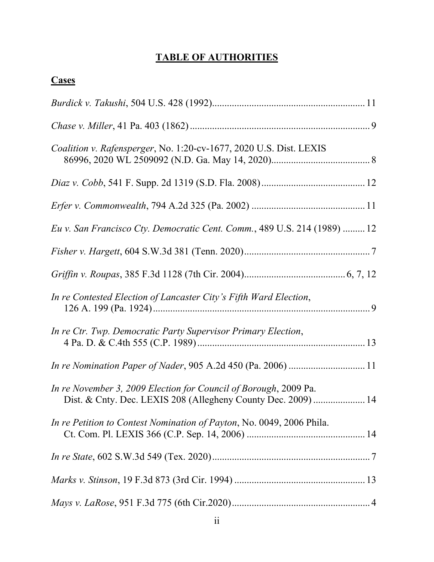# **TABLE OF AUTHORITIES**

| <b>Cases</b>                                                                                                                      |
|-----------------------------------------------------------------------------------------------------------------------------------|
|                                                                                                                                   |
|                                                                                                                                   |
| <i>Coalition v. Rafensperger, No. 1:20-cv-1677, 2020 U.S. Dist. LEXIS</i>                                                         |
|                                                                                                                                   |
|                                                                                                                                   |
| Eu v. San Francisco Cty. Democratic Cent. Comm., 489 U.S. 214 (1989)  12                                                          |
|                                                                                                                                   |
|                                                                                                                                   |
| In re Contested Election of Lancaster City's Fifth Ward Election,                                                                 |
| In re Ctr. Twp. Democratic Party Supervisor Primary Election,                                                                     |
| In re Nomination Paper of Nader, 905 A.2d 450 (Pa. 2006)  11                                                                      |
| In re November 3, 2009 Election for Council of Borough, 2009 Pa.<br>Dist. & Cnty. Dec. LEXIS 208 (Allegheny County Dec. 2009)  14 |
| In re Petition to Contest Nomination of Payton, No. 0049, 2006 Phila.                                                             |
|                                                                                                                                   |
|                                                                                                                                   |
|                                                                                                                                   |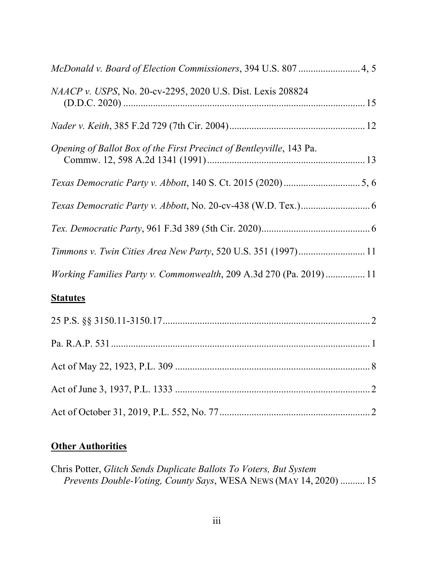| <i>NAACP v. USPS, No. 20-cv-2295, 2020 U.S. Dist. Lexis 208824</i>   |
|----------------------------------------------------------------------|
|                                                                      |
| Opening of Ballot Box of the First Precinct of Bentleyville, 143 Pa. |
|                                                                      |
|                                                                      |
|                                                                      |
| Timmons v. Twin Cities Area New Party, 520 U.S. 351 (1997) 11        |
| Working Families Party v. Commonwealth, 209 A.3d 270 (Pa. 2019) 11   |
|                                                                      |

## **Statutes**

# **Other Authorities**

Chris Potter, *Glitch Sends Duplicate Ballots To Voters, But System Prevents Double-Voting, County Says*, WESA NEWS (MAY 14, 2020) .......... 15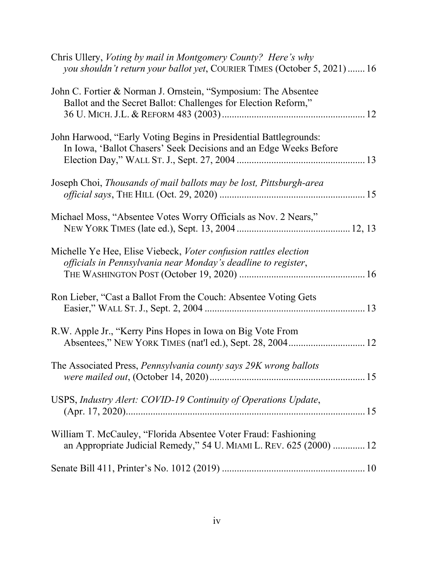| Chris Ullery, Voting by mail in Montgomery County? Here's why<br>you shouldn't return your ballot yet, COURIER TIMES (October 5, 2021)16 |  |
|------------------------------------------------------------------------------------------------------------------------------------------|--|
| John C. Fortier & Norman J. Ornstein, "Symposium: The Absentee<br>Ballot and the Secret Ballot: Challenges for Election Reform,"         |  |
| John Harwood, "Early Voting Begins in Presidential Battlegrounds:<br>In Iowa, 'Ballot Chasers' Seek Decisions and an Edge Weeks Before   |  |
| Joseph Choi, Thousands of mail ballots may be lost, Pittsburgh-area                                                                      |  |
| Michael Moss, "Absentee Votes Worry Officials as Nov. 2 Nears,"                                                                          |  |
| Michelle Ye Hee, Elise Viebeck, Voter confusion rattles election<br>officials in Pennsylvania near Monday's deadline to register,        |  |
| Ron Lieber, "Cast a Ballot From the Couch: Absentee Voting Gets                                                                          |  |
| R.W. Apple Jr., "Kerry Pins Hopes in Iowa on Big Vote From                                                                               |  |
| The Associated Press, Pennsylvania county says 29K wrong ballots                                                                         |  |
| USPS, Industry Alert: COVID-19 Continuity of Operations Update,                                                                          |  |
| William T. McCauley, "Florida Absentee Voter Fraud: Fashioning<br>an Appropriate Judicial Remedy," 54 U. MIAMI L. REV. 625 (2000)  12    |  |
|                                                                                                                                          |  |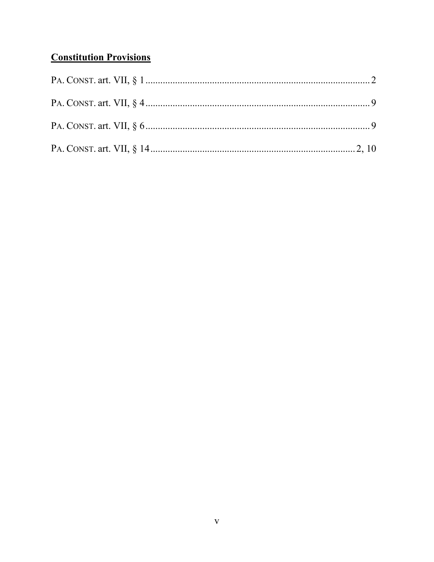# **Constitution Provisions**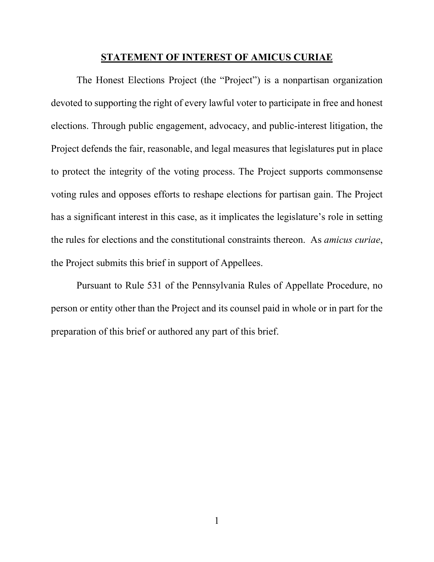### **STATEMENT OF INTEREST OF AMICUS CURIAE**

The Honest Elections Project (the "Project") is a nonpartisan organization devoted to supporting the right of every lawful voter to participate in free and honest elections. Through public engagement, advocacy, and public-interest litigation, the Project defends the fair, reasonable, and legal measures that legislatures put in place to protect the integrity of the voting process. The Project supports commonsense voting rules and opposes efforts to reshape elections for partisan gain. The Project has a significant interest in this case, as it implicates the legislature's role in setting the rules for elections and the constitutional constraints thereon. As *amicus curiae*, the Project submits this brief in support of Appellees.

Pursuant to Rule 531 of the Pennsylvania Rules of Appellate Procedure, no person or entity other than the Project and its counsel paid in whole or in part for the preparation of this brief or authored any part of this brief.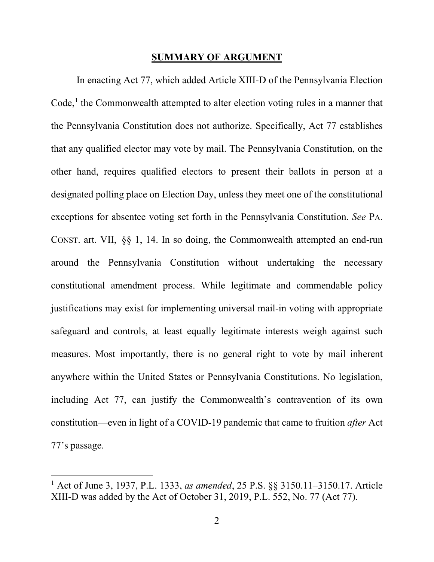#### **SUMMARY OF ARGUMENT**

In enacting Act 77, which added Article XIII-D of the Pennsylvania Election  $Code<sub>1</sub><sup>1</sup>$  $Code<sub>1</sub><sup>1</sup>$  $Code<sub>1</sub><sup>1</sup>$  the Commonwealth attempted to alter election voting rules in a manner that the Pennsylvania Constitution does not authorize. Specifically, Act 77 establishes that any qualified elector may vote by mail. The Pennsylvania Constitution, on the other hand, requires qualified electors to present their ballots in person at a designated polling place on Election Day, unless they meet one of the constitutional exceptions for absentee voting set forth in the Pennsylvania Constitution. *See* PA. CONST. art. VII, §§ 1, 14. In so doing, the Commonwealth attempted an end-run around the Pennsylvania Constitution without undertaking the necessary constitutional amendment process. While legitimate and commendable policy justifications may exist for implementing universal mail-in voting with appropriate safeguard and controls, at least equally legitimate interests weigh against such measures. Most importantly, there is no general right to vote by mail inherent anywhere within the United States or Pennsylvania Constitutions. No legislation, including Act 77, can justify the Commonwealth's contravention of its own constitution—even in light of a COVID-19 pandemic that came to fruition *after* Act 77's passage.

<span id="page-7-0"></span><sup>1</sup> Act of June 3, 1937, P.L. 1333, *as amended*, 25 P.S. §§ 3150.11–3150.17. Article XIII-D was added by the Act of October 31, 2019, P.L. 552, No. 77 (Act 77).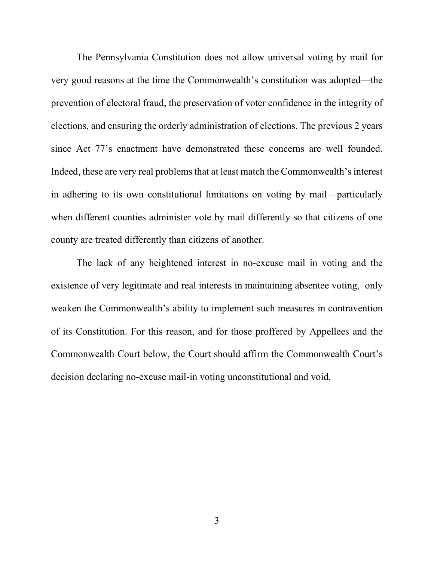The Pennsylvania Constitution does not allow universal voting by mail for very good reasons at the time the Commonwealth's constitution was adopted—the prevention of electoral fraud, the preservation of voter confidence in the integrity of elections, and ensuring the orderly administration of elections. The previous 2 years since Act 77's enactment have demonstrated these concerns are well founded. Indeed, these are very real problems that at least match the Commonwealth's interest in adhering to its own constitutional limitations on voting by mail—particularly when different counties administer vote by mail differently so that citizens of one county are treated differently than citizens of another.

The lack of any heightened interest in no-excuse mail in voting and the existence of very legitimate and real interests in maintaining absentee voting, only weaken the Commonwealth's ability to implement such measures in contravention of its Constitution. For this reason, and for those proffered by Appellees and the Commonwealth Court below, the Court should affirm the Commonwealth Court's decision declaring no-excuse mail-in voting unconstitutional and void.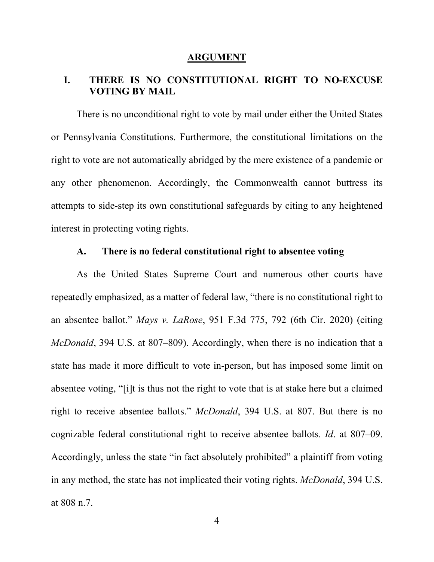#### **ARGUMENT**

## **I. THERE IS NO CONSTITUTIONAL RIGHT TO NO-EXCUSE VOTING BY MAIL**

There is no unconditional right to vote by mail under either the United States or Pennsylvania Constitutions. Furthermore, the constitutional limitations on the right to vote are not automatically abridged by the mere existence of a pandemic or any other phenomenon. Accordingly, the Commonwealth cannot buttress its attempts to side-step its own constitutional safeguards by citing to any heightened interest in protecting voting rights.

### **A. There is no federal constitutional right to absentee voting**

As the United States Supreme Court and numerous other courts have repeatedly emphasized, as a matter of federal law, "there is no constitutional right to an absentee ballot." *Mays v. LaRose*, 951 F.3d 775, 792 (6th Cir. 2020) (citing *McDonald*, 394 U.S. at 807–809). Accordingly, when there is no indication that a state has made it more difficult to vote in-person, but has imposed some limit on absentee voting, "[i]t is thus not the right to vote that is at stake here but a claimed right to receive absentee ballots." *McDonald*, 394 U.S. at 807. But there is no cognizable federal constitutional right to receive absentee ballots. *Id*. at 807–09. Accordingly, unless the state "in fact absolutely prohibited" a plaintiff from voting in any method, the state has not implicated their voting rights. *McDonald*, 394 U.S. at 808 n.7.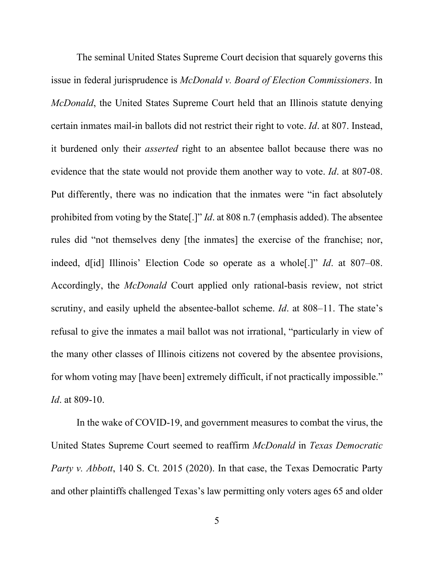The seminal United States Supreme Court decision that squarely governs this issue in federal jurisprudence is *McDonald v. Board of Election Commissioners*. In *McDonald*, the United States Supreme Court held that an Illinois statute denying certain inmates mail-in ballots did not restrict their right to vote. *Id*. at 807. Instead, it burdened only their *asserted* right to an absentee ballot because there was no evidence that the state would not provide them another way to vote. *Id*. at 807-08. Put differently, there was no indication that the inmates were "in fact absolutely prohibited from voting by the State[.]" *Id*. at 808 n.7 (emphasis added). The absentee rules did "not themselves deny [the inmates] the exercise of the franchise; nor, indeed, d[id] Illinois' Election Code so operate as a whole[.]" *Id*. at 807–08. Accordingly, the *McDonald* Court applied only rational-basis review, not strict scrutiny, and easily upheld the absentee-ballot scheme. *Id*. at 808–11. The state's refusal to give the inmates a mail ballot was not irrational, "particularly in view of the many other classes of Illinois citizens not covered by the absentee provisions, for whom voting may [have been] extremely difficult, if not practically impossible." *Id*. at 809-10.

In the wake of COVID-19, and government measures to combat the virus, the United States Supreme Court seemed to reaffirm *McDonald* in *Texas Democratic Party v. Abbott*, 140 S. Ct. 2015 (2020). In that case, the Texas Democratic Party and other plaintiffs challenged Texas's law permitting only voters ages 65 and older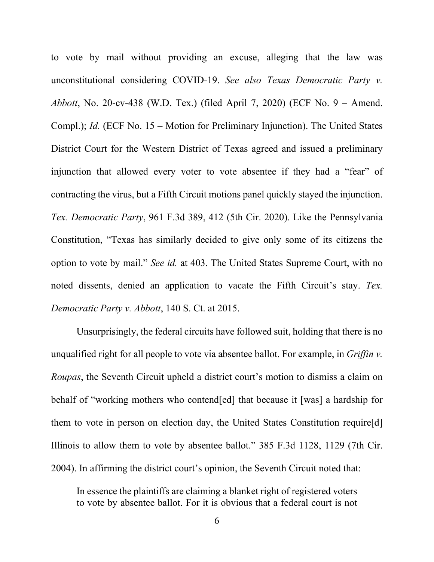to vote by mail without providing an excuse, alleging that the law was unconstitutional considering COVID-19. *See also Texas Democratic Party v. Abbott*, No. 20-cv-438 (W.D. Tex.) (filed April 7, 2020) (ECF No. 9 – Amend. Compl.); *Id.* (ECF No. 15 – Motion for Preliminary Injunction). The United States District Court for the Western District of Texas agreed and issued a preliminary injunction that allowed every voter to vote absentee if they had a "fear" of contracting the virus, but a Fifth Circuit motions panel quickly stayed the injunction. *Tex. Democratic Party*, 961 F.3d 389, 412 (5th Cir. 2020). Like the Pennsylvania Constitution, "Texas has similarly decided to give only some of its citizens the option to vote by mail." *See id.* at 403. The United States Supreme Court, with no noted dissents, denied an application to vacate the Fifth Circuit's stay. *Tex. Democratic Party v. Abbott*, 140 S. Ct. at 2015.

Unsurprisingly, the federal circuits have followed suit, holding that there is no unqualified right for all people to vote via absentee ballot. For example, in *Griffin v. Roupas*, the Seventh Circuit upheld a district court's motion to dismiss a claim on behalf of "working mothers who contend[ed] that because it [was] a hardship for them to vote in person on election day, the United States Constitution require[d] Illinois to allow them to vote by absentee ballot." 385 F.3d 1128, 1129 (7th Cir. 2004). In affirming the district court's opinion, the Seventh Circuit noted that:

In essence the plaintiffs are claiming a blanket right of registered voters to vote by absentee ballot. For it is obvious that a federal court is not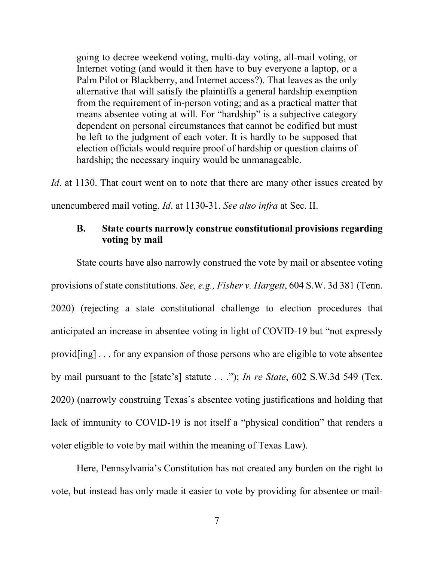going to decree weekend voting, multi-day voting, all-mail voting, or Internet voting (and would it then have to buy everyone a laptop, or a Palm Pilot or Blackberry, and Internet access?). That leaves as the only alternative that will satisfy the plaintiffs a general hardship exemption from the requirement of in-person voting; and as a practical matter that means absentee voting at will. For "hardship" is a subjective category dependent on personal circumstances that cannot be codified but must be left to the judgment of each voter. It is hardly to be supposed that election officials would require proof of hardship or question claims of hardship; the necessary inquiry would be unmanageable.

*Id*. at 1130. That court went on to note that there are many other issues created by unencumbered mail voting. *Id*. at 1130-31. *See also infra* at Sec. II.

## **B. State courts narrowly construe constitutional provisions regarding voting by mail**

State courts have also narrowly construed the vote by mail or absentee voting provisions of state constitutions. *See, e.g., Fisher v. Hargett*, 604 S.W. 3d 381 (Tenn.) 2020) (rejecting a state constitutional challenge to election procedures that anticipated an increase in absentee voting in light of COVID-19 but "not expressly provid[ing] . . . for any expansion of those persons who are eligible to vote absentee by mail pursuant to the [state's] statute . . ."); *In re State*, 602 S.W.3d 549 (Tex. 2020) (narrowly construing Texas's absentee voting justifications and holding that lack of immunity to COVID-19 is not itself a "physical condition" that renders a voter eligible to vote by mail within the meaning of Texas Law).

Here, Pennsylvania's Constitution has not created any burden on the right to vote, but instead has only made it easier to vote by providing for absentee or mail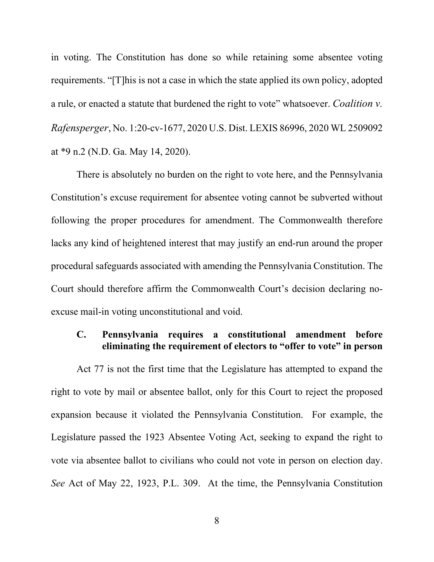in voting. The Constitution has done so while retaining some absentee voting requirements. "[T]his is not a case in which the state applied its own policy, adopted a rule, or enacted a statute that burdened the right to vote" whatsoever. *Coalition v. Rafensperger*, No. 1:20-cv-1677, 2020 U.S. Dist. LEXIS 86996, 2020 WL 2509092 at \*9 n.2 (N.D. Ga. May 14, 2020).

There is absolutely no burden on the right to vote here, and the Pennsylvania Constitution's excuse requirement for absentee voting cannot be subverted without following the proper procedures for amendment. The Commonwealth therefore lacks any kind of heightened interest that may justify an end-run around the proper procedural safeguards associated with amending the Pennsylvania Constitution. The Court should therefore affirm the Commonwealth Court's decision declaring noexcuse mail-in voting unconstitutional and void.

## **C. Pennsylvania requires a constitutional amendment before eliminating the requirement of electors to "offer to vote" in person**

Act 77 is not the first time that the Legislature has attempted to expand the right to vote by mail or absentee ballot, only for this Court to reject the proposed expansion because it violated the Pennsylvania Constitution. For example, the Legislature passed the 1923 Absentee Voting Act, seeking to expand the right to vote via absentee ballot to civilians who could not vote in person on election day. *See* Act of May 22, 1923, P.L. 309. At the time, the Pennsylvania Constitution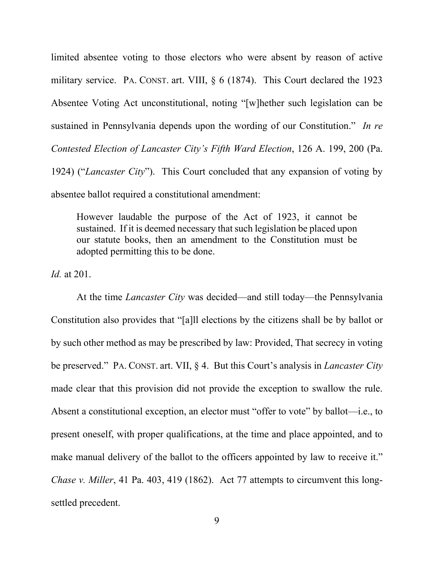limited absentee voting to those electors who were absent by reason of active military service. PA. CONST. art. VIII, § 6 (1874). This Court declared the 1923 Absentee Voting Act unconstitutional, noting "[w]hether such legislation can be sustained in Pennsylvania depends upon the wording of our Constitution." *In re Contested Election of Lancaster City's Fifth Ward Election*, 126 A. 199, 200 (Pa. 1924) ("*Lancaster City*"). This Court concluded that any expansion of voting by absentee ballot required a constitutional amendment:

However laudable the purpose of the Act of 1923, it cannot be sustained. If it is deemed necessary that such legislation be placed upon our statute books, then an amendment to the Constitution must be adopted permitting this to be done.

*Id.* at 201.

At the time *Lancaster City* was decided—and still today—the Pennsylvania Constitution also provides that "[a]ll elections by the citizens shall be by ballot or by such other method as may be prescribed by law: Provided, That secrecy in voting be preserved." PA. CONST. art. VII, § 4. But this Court's analysis in *Lancaster City* made clear that this provision did not provide the exception to swallow the rule. Absent a constitutional exception, an elector must "offer to vote" by ballot—i.e., to present oneself, with proper qualifications, at the time and place appointed, and to make manual delivery of the ballot to the officers appointed by law to receive it." *Chase v. Miller*, 41 Pa. 403, 419 (1862). Act 77 attempts to circumvent this longsettled precedent.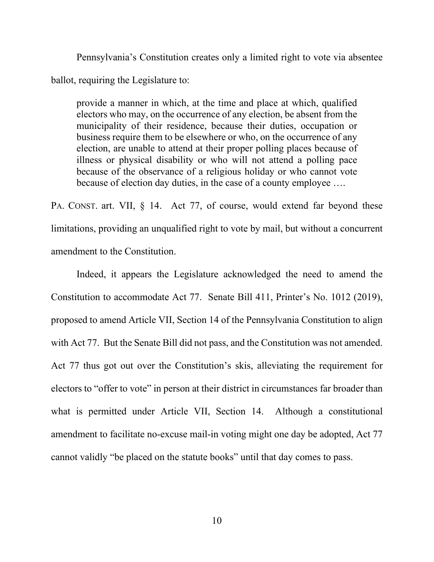Pennsylvania's Constitution creates only a limited right to vote via absentee ballot, requiring the Legislature to:

provide a manner in which, at the time and place at which, qualified electors who may, on the occurrence of any election, be absent from the municipality of their residence, because their duties, occupation or business require them to be elsewhere or who, on the occurrence of any election, are unable to attend at their proper polling places because of illness or physical disability or who will not attend a polling pace because of the observance of a religious holiday or who cannot vote because of election day duties, in the case of a county employee ….

PA. CONST. art. VII, § 14. Act 77, of course, would extend far beyond these limitations, providing an unqualified right to vote by mail, but without a concurrent amendment to the Constitution.

Indeed, it appears the Legislature acknowledged the need to amend the Constitution to accommodate Act 77. Senate Bill 411, Printer's No. 1012 (2019), proposed to amend Article VII, Section 14 of the Pennsylvania Constitution to align with Act 77. But the Senate Bill did not pass, and the Constitution was not amended. Act 77 thus got out over the Constitution's skis, alleviating the requirement for electors to "offer to vote" in person at their district in circumstances far broader than what is permitted under Article VII, Section 14. Although a constitutional amendment to facilitate no-excuse mail-in voting might one day be adopted, Act 77 cannot validly "be placed on the statute books" until that day comes to pass.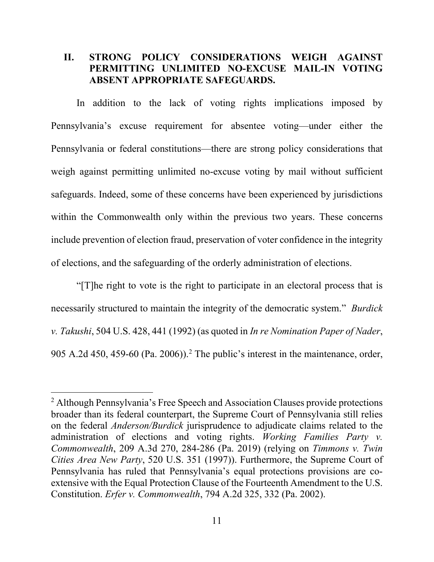## **II. STRONG POLICY CONSIDERATIONS WEIGH AGAINST PERMITTING UNLIMITED NO-EXCUSE MAIL-IN VOTING ABSENT APPROPRIATE SAFEGUARDS.**

In addition to the lack of voting rights implications imposed by Pennsylvania's excuse requirement for absentee voting—under either the Pennsylvania or federal constitutions—there are strong policy considerations that weigh against permitting unlimited no-excuse voting by mail without sufficient safeguards. Indeed, some of these concerns have been experienced by jurisdictions within the Commonwealth only within the previous two years. These concerns include prevention of election fraud, preservation of voter confidence in the integrity of elections, and the safeguarding of the orderly administration of elections.

"[T]he right to vote is the right to participate in an electoral process that is necessarily structured to maintain the integrity of the democratic system." *Burdick v. Takushi*, 504 U.S. 428, 441 (1992) (as quoted in *In re Nomination Paper of Nader*, 905 A.2d 450, 459-60 (Pa. 2006)). [2](#page-16-0) The public's interest in the maintenance, order,

<span id="page-16-0"></span><sup>&</sup>lt;sup>2</sup> Although Pennsylvania's Free Speech and Association Clauses provide protections broader than its federal counterpart, the Supreme Court of Pennsylvania still relies on the federal *Anderson/Burdick* jurisprudence to adjudicate claims related to the administration of elections and voting rights. *Working Families Party v. Commonwealth*, 209 A.3d 270, 284-286 (Pa. 2019) (relying on *Timmons v. Twin Cities Area New Party*, 520 U.S. 351 (1997)). Furthermore, the Supreme Court of Pennsylvania has ruled that Pennsylvania's equal protections provisions are coextensive with the Equal Protection Clause of the Fourteenth Amendment to the U.S. Constitution. *Erfer v. Commonwealth*, 794 A.2d 325, 332 (Pa. 2002).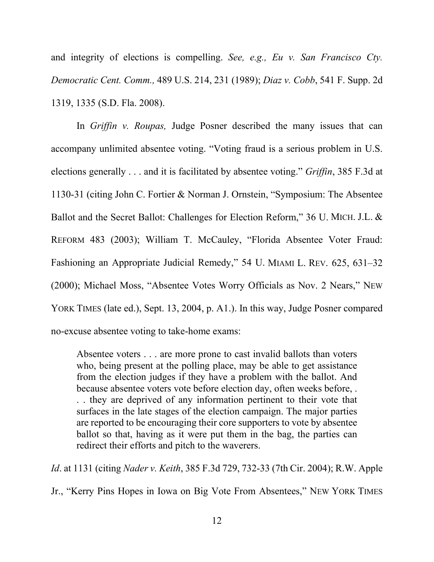and integrity of elections is compelling. *See, e.g., Eu v. San Francisco Cty. Democratic Cent. Comm.,* 489 U.S. 214, 231 (1989); *Diaz v. Cobb*, 541 F. Supp. 2d 1319, 1335 (S.D. Fla. 2008).

In *Griffin v. Roupas,* Judge Posner described the many issues that can accompany unlimited absentee voting. "Voting fraud is a serious problem in U.S. elections generally . . . and it is facilitated by absentee voting." *Griffin*, 385 F.3d at 1130-31 (citing John C. Fortier & Norman J. Ornstein, "Symposium: The Absentee Ballot and the Secret Ballot: Challenges for Election Reform," 36 U. MICH. J.L. & REFORM 483 (2003); William T. McCauley, "Florida Absentee Voter Fraud: Fashioning an Appropriate Judicial Remedy," 54 U. MIAMI L. REV. 625, 631–32 (2000); Michael Moss, "Absentee Votes Worry Officials as Nov. 2 Nears," NEW YORK TIMES (late ed.), Sept. 13, 2004, p. A1.). In this way, Judge Posner compared no-excuse absentee voting to take-home exams:

Absentee voters . . . are more prone to cast invalid ballots than voters who, being present at the polling place, may be able to get assistance from the election judges if they have a problem with the ballot. And because absentee voters vote before election day, often weeks before, . . . they are deprived of any information pertinent to their vote that surfaces in the late stages of the election campaign. The major parties are reported to be encouraging their core supporters to vote by absentee ballot so that, having as it were put them in the bag, the parties can redirect their efforts and pitch to the waverers.

*Id*. at 1131 (citing *Nader v. Keith*, 385 F.3d 729, 732-33 (7th Cir. 2004); R.W. Apple

Jr., "Kerry Pins Hopes in Iowa on Big Vote From Absentees," NEW YORK TIMES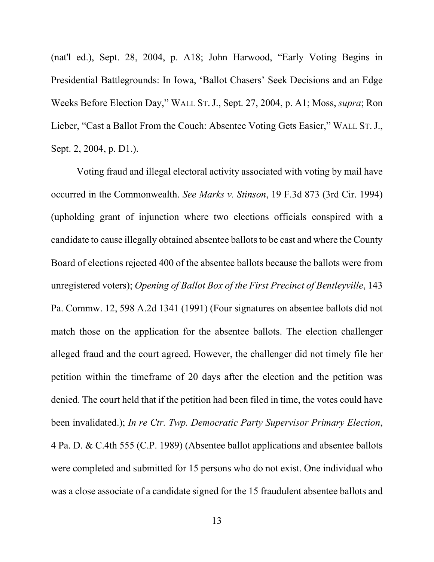(nat'l ed.), Sept. 28, 2004, p. A18; John Harwood, "Early Voting Begins in Presidential Battlegrounds: In Iowa, 'Ballot Chasers' Seek Decisions and an Edge Weeks Before Election Day," WALL ST.J., Sept. 27, 2004, p. A1; Moss, *supra*; Ron Lieber, "Cast a Ballot From the Couch: Absentee Voting Gets Easier," WALL ST.J., Sept. 2, 2004, p. D1.).

Voting fraud and illegal electoral activity associated with voting by mail have occurred in the Commonwealth. *See Marks v. Stinson*, 19 F.3d 873 (3rd Cir. 1994) (upholding grant of injunction where two elections officials conspired with a candidate to cause illegally obtained absentee ballots to be cast and where the County Board of elections rejected 400 of the absentee ballots because the ballots were from unregistered voters); *Opening of Ballot Box of the First Precinct of Bentleyville*, 143 Pa. Commw. 12, 598 A.2d 1341 (1991) (Four signatures on absentee ballots did not match those on the application for the absentee ballots. The election challenger alleged fraud and the court agreed. However, the challenger did not timely file her petition within the timeframe of 20 days after the election and the petition was denied. The court held that if the petition had been filed in time, the votes could have been invalidated.); *In re Ctr. Twp. Democratic Party Supervisor Primary Election*, 4 Pa. D. & C.4th 555 (C.P. 1989) (Absentee ballot applications and absentee ballots were completed and submitted for 15 persons who do not exist. One individual who was a close associate of a candidate signed for the 15 fraudulent absentee ballots and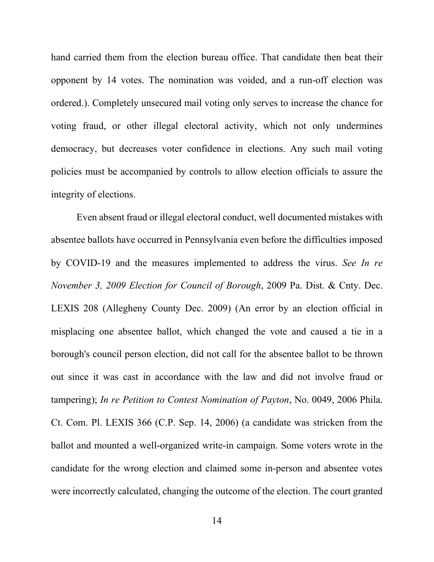hand carried them from the election bureau office. That candidate then beat their opponent by 14 votes. The nomination was voided, and a run-off election was ordered.). Completely unsecured mail voting only serves to increase the chance for voting fraud, or other illegal electoral activity, which not only undermines democracy, but decreases voter confidence in elections. Any such mail voting policies must be accompanied by controls to allow election officials to assure the integrity of elections.

Even absent fraud or illegal electoral conduct, well documented mistakes with absentee ballots have occurred in Pennsylvania even before the difficulties imposed by COVID-19 and the measures implemented to address the virus. *See In re November 3, 2009 Election for Council of Borough*, 2009 Pa. Dist. & Cnty. Dec. LEXIS 208 (Allegheny County Dec. 2009) (An error by an election official in misplacing one absentee ballot, which changed the vote and caused a tie in a borough's council person election, did not call for the absentee ballot to be thrown out since it was cast in accordance with the law and did not involve fraud or tampering); *In re Petition to Contest Nomination of Payton*, No. 0049, 2006 Phila. Ct. Com. Pl. LEXIS 366 (C.P. Sep. 14, 2006) (a candidate was stricken from the ballot and mounted a well-organized write-in campaign. Some voters wrote in the candidate for the wrong election and claimed some in-person and absentee votes were incorrectly calculated, changing the outcome of the election. The court granted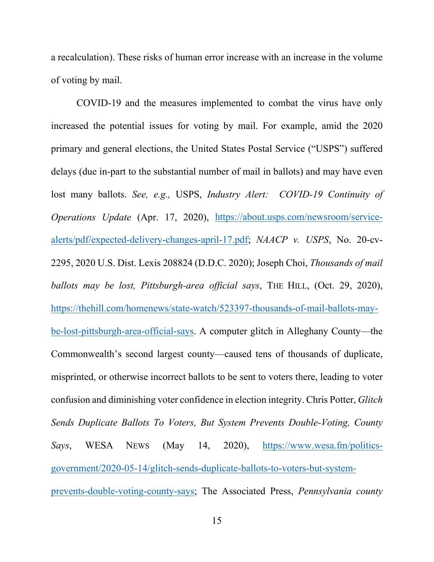a recalculation). These risks of human error increase with an increase in the volume of voting by mail.

COVID-19 and the measures implemented to combat the virus have only increased the potential issues for voting by mail. For example, amid the 2020 primary and general elections, the United States Postal Service ("USPS") suffered delays (due in-part to the substantial number of mail in ballots) and may have even lost many ballots. *See, e.g.,* USPS, *Industry Alert: COVID-19 Continuity of Operations Update* (Apr. 17, 2020), [https://about.usps.com/newsroom/service](https://about.usps.com/newsroom/service-alerts/pdf/expected-delivery-changes-april-17.pdf)[alerts/pdf/expected-delivery-changes-april-17.pdf;](https://about.usps.com/newsroom/service-alerts/pdf/expected-delivery-changes-april-17.pdf) *NAACP v. USPS*, No. 20-cv-2295, 2020 U.S. Dist. Lexis 208824 (D.D.C. 2020); Joseph Choi, *Thousands of mail ballots may be lost, Pittsburgh-area official says*, THE HILL, (Oct. 29, 2020), [https://thehill.com/homenews/state-watch/523397-thousands-of-mail-ballots-may](https://thehill.com/homenews/state-watch/523397-thousands-of-mail-ballots-may-be-lost-pittsburgh-area-official-says)[be-lost-pittsburgh-area-official-says.](https://thehill.com/homenews/state-watch/523397-thousands-of-mail-ballots-may-be-lost-pittsburgh-area-official-says) A computer glitch in Alleghany County—the Commonwealth's second largest county—caused tens of thousands of duplicate, misprinted, or otherwise incorrect ballots to be sent to voters there, leading to voter confusion and diminishing voter confidence in election integrity. Chris Potter, *Glitch Sends Duplicate Ballots To Voters, But System Prevents Double-Voting, County Says*, WESA NEWS (May 14, 2020), [https://www.wesa.fm/politics](https://www.wesa.fm/politics-government/2020-05-14/glitch-sends-duplicate-ballots-to-voters-but-system-prevents-double-voting-county-says)[government/2020-05-14/glitch-sends-duplicate-ballots-to-voters-but-system](https://www.wesa.fm/politics-government/2020-05-14/glitch-sends-duplicate-ballots-to-voters-but-system-prevents-double-voting-county-says)[prevents-double-voting-county-says;](https://www.wesa.fm/politics-government/2020-05-14/glitch-sends-duplicate-ballots-to-voters-but-system-prevents-double-voting-county-says) The Associated Press, *Pennsylvania county*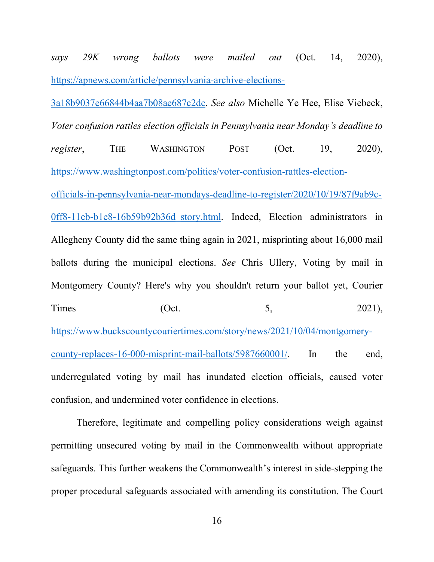*says 29K wrong ballots were mailed out* (Oct. 14, 2020), [https://apnews.com/article/pennsylvania-archive-elections-](https://apnews.com/article/pennsylvania-archive-elections-3a18b9037e66844b4aa7b08ae687c2dc)

[3a18b9037e66844b4aa7b08ae687c2dc.](https://apnews.com/article/pennsylvania-archive-elections-3a18b9037e66844b4aa7b08ae687c2dc) *See also* Michelle Ye Hee, Elise Viebeck, *Voter confusion rattles election officials in Pennsylvania near Monday's deadline to register*, THE WASHINGTON POST (Oct. 19, 2020), [https://www.washingtonpost.com/politics/voter-confusion-rattles-election](https://www.washingtonpost.com/politics/voter-confusion-rattles-election-officials-in-pennsylvania-near-mondays-deadline-to-register/2020/10/19/87f9ab9c-0ff8-11eb-b1e8-16b59b92b36d_story.html)[officials-in-pennsylvania-near-mondays-deadline-to-register/2020/10/19/87f9ab9c-](https://www.washingtonpost.com/politics/voter-confusion-rattles-election-officials-in-pennsylvania-near-mondays-deadline-to-register/2020/10/19/87f9ab9c-0ff8-11eb-b1e8-16b59b92b36d_story.html)0ff8-11eb-b1e8-16b59b92b36d story.html. Indeed, Election administrators in Allegheny County did the same thing again in 2021, misprinting about 16,000 mail ballots during the municipal elections. *See* Chris Ullery, Voting by mail in Montgomery County? Here's why you shouldn't return your ballot yet, Courier Times (Oct. 5, 2021), [https://www.buckscountycouriertimes.com/story/news/2021/10/04/montgomery](https://www.buckscountycouriertimes.com/story/news/2021/10/04/montgomery-county-replaces-16-000-misprint-mail-ballots/5987660001/)[county-replaces-16-000-misprint-mail-ballots/5987660001/.](https://www.buckscountycouriertimes.com/story/news/2021/10/04/montgomery-county-replaces-16-000-misprint-mail-ballots/5987660001/) In the end, underregulated voting by mail has inundated election officials, caused voter confusion, and undermined voter confidence in elections.

Therefore, legitimate and compelling policy considerations weigh against permitting unsecured voting by mail in the Commonwealth without appropriate safeguards. This further weakens the Commonwealth's interest in side-stepping the proper procedural safeguards associated with amending its constitution. The Court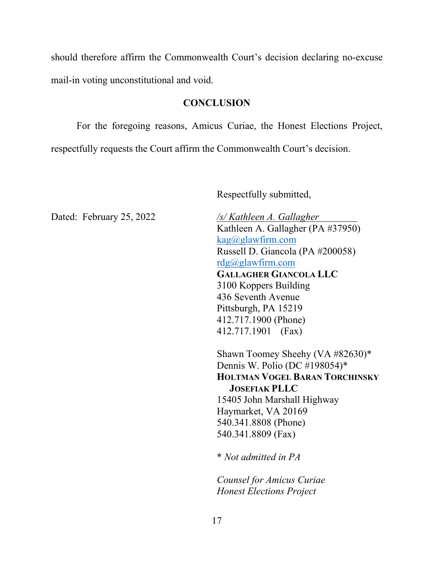should therefore affirm the Commonwealth Court's decision declaring no-excuse mail-in voting unconstitutional and void.

### **CONCLUSION**

For the foregoing reasons, Amicus Curiae, the Honest Elections Project, respectfully requests the Court affirm the Commonwealth Court's decision.

Respectfully submitted,

Kathleen A. Gallagher (PA #37950)  $kag@glawfirm.com$ Russell D. Giancola (PA #200058) [rdg@glawfirm.com](mailto:rdg@glawfirm.com) **GALLAGHER GIANCOLA LLC** 3100 Koppers Building 436 Seventh Avenue Pittsburgh, PA 15219 412.717.1900 (Phone) 412.717.1901 (Fax)

Shawn Toomey Sheehy (VA #82630)\* Dennis W. Polio (DC #198054)\* **HOLTMAN VOGEL BARAN TORCHINSKY JOSEFIAK PLLC** 15405 John Marshall Highway Haymarket, VA 20169 540.341.8808 (Phone) 540.341.8809 (Fax)

\* *Not admitted in PA*

*Counsel for Amicus Curiae Honest Elections Project*

Dated: February 25, 2022 */s/ Kathleen A. Gallagher*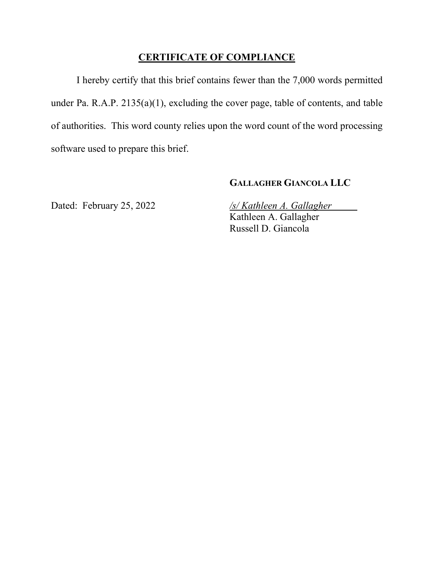## **CERTIFICATE OF COMPLIANCE**

I hereby certify that this brief contains fewer than the 7,000 words permitted under Pa. R.A.P. 2135(a)(1), excluding the cover page, table of contents, and table of authorities. This word county relies upon the word count of the word processing software used to prepare this brief.

## **GALLAGHER GIANCOLA LLC**

Dated: February 25, 2022 */s/ Kathleen A. Gallagher* Kathleen A. Gallagher Russell D. Giancola